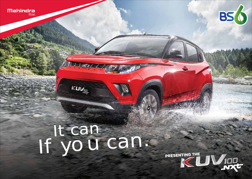



PRESENTING THE SAMPLE

# It can If you can.

KUV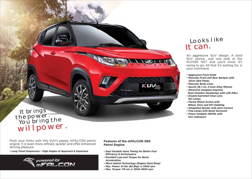# KUV<sub>100</sub>

# It brings<br>the power. You bring the willpower.

Push your limits with this SUV's peppy mFALCON petrol engine. It is even more refined, quieter and offer enhanced driving pleasure.

*• Long Travel Suspension • High Angles of Approach & Departure*



### **Features of the mFALCON G80 Petrol Engine:**

- *Dual Variable Valve Timing for Better Fuel Efficiency & Performance*
- *Excellent Low-end Torque for Quick Acceleration*
- *Micro Hybrid Technology (Engine Start/Stop)*
- *Max. Power: 61 Kw (82 Bhp) @ 5500 rpm*
- *Max. Torque: 115 nm @ 3500~3600 rpm*

## Looks like It can.

An aggressive SUV design. A bold SUV stance. Just one look at the KUV100 NXT and you'll know it's raring to go. All that it's waiting for, is your command.

- *Aggressive Front Grille*
- *Muscular Front and Rear Bumper with Silver Skid Plates*
- *Muscular Body Lines*
- *Sporty 38.1 cm, 2-tone Alloy Wheels*
- *Attractive Sunglass-inspired,*
- *Dual-chamber Headlamps with LED DRLs*
- *Double-barrelled Clear Lens Tail Lamps*
- *Flared Wheel Arches with*
- *Wheel, Door and Sill Cladding*
- *Integrated Spoiler with Aero Corners*
- *Fog Lamps with Bezel Surround*
- *Power-foldable ORVMs with Turn Indicators*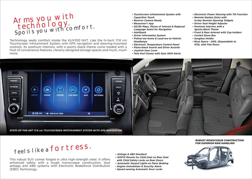# Arms you with **technology.** Spoils you with comfort.

Technology weds comfort inside the KUV100 NXT. Like the hi-tech 17.8 cm Touchscreen Infotainment System with GPS navigation and steering-mounted controls. Its premium interiors, with a sporty black theme come loaded with a host of convenience features, cleverly designed storage spaces and much, much more.

- *Touchscreen Infotainment System with Capacitive Touch*
- *Reverse Camera Ready*
- *Bluesense® App*
- *2D/3D Maps, Places of Interest & Regional Language Assist for Navigation*
- *Intellipark*
- *Driver Information System*
- *Follow-me-home & Lead-me-to-Vehicle Headlamps*
- *Electronic Temperature Control Panel*
- *Piano-black Inserts and Silver Accents*
- *Joystick Gear Lever*
- *Twin Pod Cluster with Gear Shift Alerts*
- *Electronic Power Steering with Tilt Function*
- *Remote Keyless Entry with In-key Remote Opening Tailgate*
- *Driver Seat Height Adjuster*
- *Premium interiors with a Sporty Black Theme*
- *Front & Rear Armrest with Cup-holders*
- *Cooled Glove Box*
- *Sunglass Holder*
- *Boot Space 243L (Expandable to 473L with Flat-floor)*



# feels like a fortress.

This robust SUV comes forged in ultra high-strength steel. It offers enhanced safety with a tough monocoque construction, dual airbags and ABS systems with Electronic Brakeforce Distribution (EBD) Technology.

- *Airbags & ABS Standard*
- *ISOFIX Mounts for Child Seat on Rear Seat*
- *with Child Safety Locks on Rear Doors*
- *Automatic Hazard Lights on Panic Braking*
- *Engine Immobilizer & Security Alarm*
- *Speed-sensing Automatic Door Locks*

### *ROBUST MONOCOQUE CONSTRUCTION FOR SUPERIOR RIDE HANDLING*